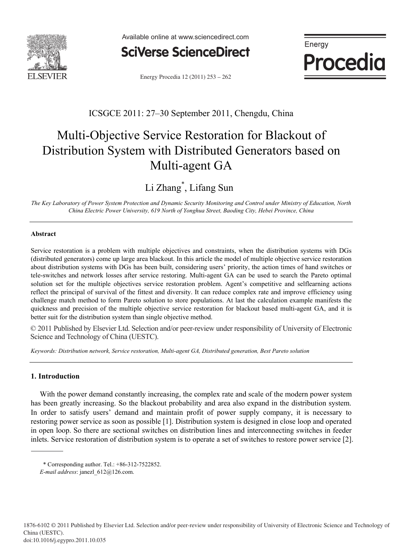



Energy Procedia 12 (2011) 253 – 262

**Procedia**

### ICSGCE 2011: 27–30 September 2011, Chengdu, China

# Multi-Objective Service Restoration for Blackout of Distribution System with Distributed Generators based on Multi-agent GA

## Li Zhang\* , Lifang Sun

*The Key Laboratory of Power System Protection and Dynamic Security Monitoring and Control under Ministry of Education, North China Electric Power University, 619 North of Yonghua Street, Baoding City, Hebei Province, China* 

#### **Abstract**

Service restoration is a problem with multiple objectives and constraints, when the distribution systems with DGs (distributed generators) come up large area blackout. In this article the model of multiple objective service restoration about distribution systems with DGs has been built, considering users' priority, the action times of hand switches or tele-switches and network losses after service restoring. Multi-agent GA can be used to search the Pareto optimal solution set for the multiple objectives service restoration problem. Agent's competitive and selflearning actions reflect the principal of survival of the fittest and diversity. It can reduce complex rate and improve efficiency using challenge match method to form Pareto solution to store populations. At last the calculation example manifests the quickness and precision of the multiple objective service restoration for blackout based multi-agent GA, and it is better suit for the distribution system than single objective method.

Science and Technology of China (UESTC). © 2011 Published by Elsevier Ltd. Selection and/or peer-review under responsibility of University of Electronic

*Keywords: Distribution network, Service restoration, Multi-agent GA, Distributed generation, Best Pareto solution* 

### **1. Introduction**

With the power demand constantly increasing, the complex rate and scale of the modern power system has been greatly increasing. So the blackout probability and area also expand in the distribution system. In order to satisfy users' demand and maintain profit of power supply company, it is necessary to restoring power service as soon as possible [1]. Distribution system is designed in close loop and operated in open loop. So there are sectional switches on distribution lines and interconnecting switches in feeder inlets. Service restoration of distribution system is to operate a set of switches to restore power service [2].

<sup>\*</sup> Corresponding author. Tel.: +86-312-7522852.

*E-mail address*: janezl\_612@126.com.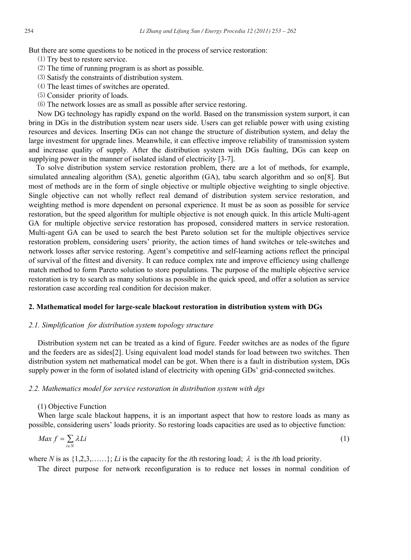But there are some questions to be noticed in the process of service restoration:

- ⑴ Try best to restore service.
- ⑵ The time of running program is as short as possible.
- ⑶ Satisfy the constraints of distribution system.
- ⑷ The least times of switches are operated.
- ⑸ Consider priority of loads.
- ⑹ The network losses are as small as possible after service restoring.

Now DG technology has rapidly expand on the world. Based on the transmission system surport, it can bring in DGs in the distribution system near users side. Users can get reliable power with using existing resources and devices. Inserting DGs can not change the structure of distribution system, and delay the large investment for upgrade lines. Meanwhile, it can effective improve reliability of transmission system and increase quality of supply. After the distribution system with DGs faulting, DGs can keep on supplying power in the manner of isolated island of electricity [3-7].

To solve distribution system service restoration problem, there are a lot of methods, for example, simulated annealing algorithm (SA), genetic algorithm (GA), tabu search algorithm and so on[8]. But most of methods are in the form of single objective or multiple objective weighting to single objective. Single objective can not wholly reflect real demand of distribution system service restoration, and weighting method is more dependent on personal experience. It must be as soon as possible for service restoration, but the speed algorithm for multiple objective is not enough quick. In this article Multi-agent GA for multiple objective service restoration has proposed, considered matters in service restoration. Multi-agent GA can be used to search the best Pareto solution set for the multiple objectives service restoration problem, considering users' priority, the action times of hand switches or tele-switches and network losses after service restoring. Agent's competitive and self-learning actions reflect the principal of survival of the fittest and diversity. It can reduce complex rate and improve efficiency using challenge match method to form Pareto solution to store populations. The purpose of the multiple objective service restoration is try to search as many solutions as possible in the quick speed, and offer a solution as service restoration case according real condition for decision maker.

#### **2. Mathematical model for large-scale blackout restoration in distribution system with DGs**

#### *2.1. Simplification for distribution system topology structure*

Distribution system net can be treated as a kind of figure. Feeder switches are as nodes of the figure and the feeders are as sides[2]. Using equivalent load model stands for load between two switches. Then distribution system net mathematical model can be got. When there is a fault in distribution system, DGs supply power in the form of isolated island of electricity with opening GDs' grid-connected switches.

#### *2.2. Mathematics model for service restoration in distribution system with dgs*

#### (1) Objective Function

When large scale blackout happens, it is an important aspect that how to restore loads as many as possible, considering users' loads priority. So restoring loads capacities are used as to objective function:

$$
Max \ f = \sum_{i \in N} \lambda Li \tag{1}
$$

where *N* is as  $\{1,2,3,\ldots\}$ ; *Li* is the capacity for the *i*th restoring load;  $\lambda$  is the *i*th load priority.

The direct purpose for network reconfiguration is to reduce net losses in normal condition of